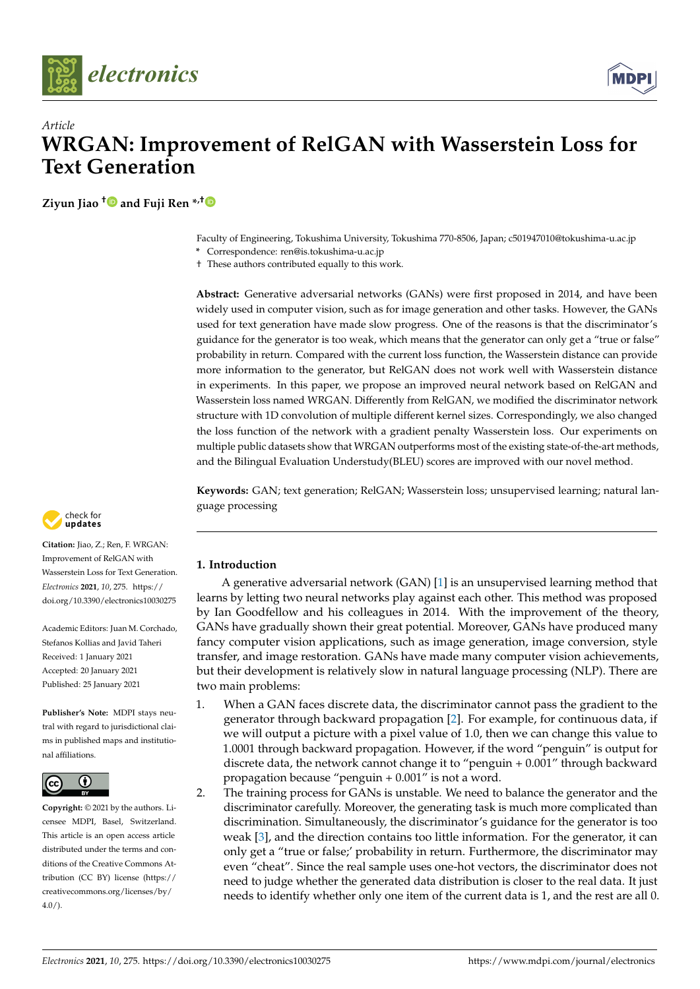



**Ziyun Jiao [†](https://orcid.org/0000-0003-3281-9494) and Fuji Ren \*,[†](https://orcid.org/0000-0003-4860-9184)**

Faculty of Engineering, Tokushima University, Tokushima 770-8506, Japan; c501947010@tokushima-u.ac.jp

**\*** Correspondence: ren@is.tokushima-u.ac.jp

† These authors contributed equally to this work.

**Abstract:** Generative adversarial networks (GANs) were first proposed in 2014, and have been widely used in computer vision, such as for image generation and other tasks. However, the GANs used for text generation have made slow progress. One of the reasons is that the discriminator's guidance for the generator is too weak, which means that the generator can only get a "true or false" probability in return. Compared with the current loss function, the Wasserstein distance can provide more information to the generator, but RelGAN does not work well with Wasserstein distance in experiments. In this paper, we propose an improved neural network based on RelGAN and Wasserstein loss named WRGAN. Differently from RelGAN, we modified the discriminator network structure with 1D convolution of multiple different kernel sizes. Correspondingly, we also changed the loss function of the network with a gradient penalty Wasserstein loss. Our experiments on multiple public datasets show that WRGAN outperforms most of the existing state-of-the-art methods, and the Bilingual Evaluation Understudy(BLEU) scores are improved with our novel method.

**Keywords:** GAN; text generation; RelGAN; Wasserstein loss; unsupervised learning; natural language processing

# **1. Introduction**

A generative adversarial network (GAN) [\[1\]](#page-12-0) is an unsupervised learning method that learns by letting two neural networks play against each other. This method was proposed by Ian Goodfellow and his colleagues in 2014. With the improvement of the theory, GANs have gradually shown their great potential. Moreover, GANs have produced many fancy computer vision applications, such as image generation, image conversion, style transfer, and image restoration. GANs have made many computer vision achievements, but their development is relatively slow in natural language processing (NLP). There are two main problems:

- 1. When a GAN faces discrete data, the discriminator cannot pass the gradient to the generator through backward propagation [\[2\]](#page-12-1). For example, for continuous data, if we will output a picture with a pixel value of 1.0, then we can change this value to 1.0001 through backward propagation. However, if the word "penguin" is output for discrete data, the network cannot change it to "penguin + 0.001" through backward propagation because "penguin + 0.001" is not a word.
- 2. The training process for GANs is unstable. We need to balance the generator and the discriminator carefully. Moreover, the generating task is much more complicated than discrimination. Simultaneously, the discriminator's guidance for the generator is too weak [\[3\]](#page-12-2), and the direction contains too little information. For the generator, it can only get a "true or false;' probability in return. Furthermore, the discriminator may even "cheat". Since the real sample uses one-hot vectors, the discriminator does not need to judge whether the generated data distribution is closer to the real data. It just needs to identify whether only one item of the current data is 1, and the rest are all 0.



**Citation:** Jiao, Z.; Ren, F. WRGAN: Improvement of RelGAN with Wasserstein Loss for Text Generation. *Electronics* **2021**, *10*, 275. [https://](https://doi.org/10.3390/electronics10030275) [doi.org/10.3390/electronics10030275](https://doi.org/10.3390/electronics10030275)

Academic Editors: Juan M. Corchado, Stefanos Kollias and Javid Taheri Received: 1 January 2021 Accepted: 20 January 2021 Published: 25 January 2021

**Publisher's Note:** MDPI stays neutral with regard to jurisdictional claims in published maps and institutional affiliations.



**Copyright:** © 2021 by the authors. Licensee MDPI, Basel, Switzerland. This article is an open access article distributed under the terms and conditions of the Creative Commons Attribution (CC BY) license [\(https://](https://creativecommons.org/licenses/by/4.0/) [creativecommons.org/licenses/by/](https://creativecommons.org/licenses/by/4.0/) [4.0/\)](https://creativecommons.org/licenses/by/4.0/).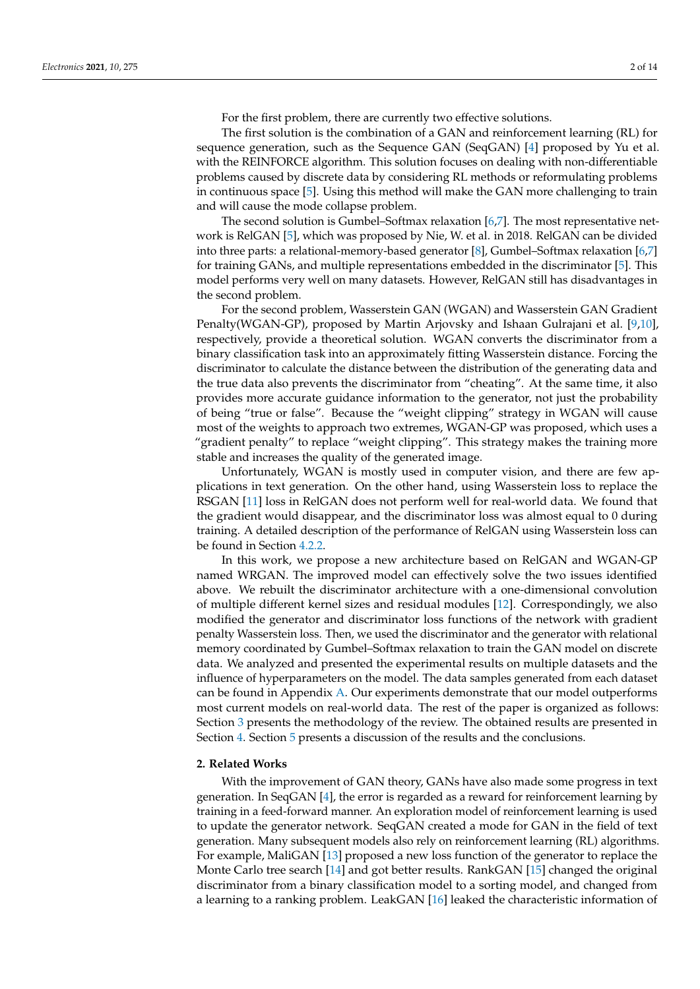For the first problem, there are currently two effective solutions.

The first solution is the combination of a GAN and reinforcement learning (RL) for sequence generation, such as the Sequence GAN (SeqGAN) [\[4\]](#page-12-3) proposed by Yu et al. with the REINFORCE algorithm. This solution focuses on dealing with non-differentiable problems caused by discrete data by considering RL methods or reformulating problems in continuous space [\[5\]](#page-12-4). Using this method will make the GAN more challenging to train and will cause the mode collapse problem.

The second solution is Gumbel–Softmax relaxation [\[6](#page-12-5)[,7\]](#page-12-6). The most representative network is RelGAN [\[5\]](#page-12-4), which was proposed by Nie, W. et al. in 2018. RelGAN can be divided into three parts: a relational-memory-based generator [\[8\]](#page-12-7), Gumbel–Softmax relaxation [\[6,](#page-12-5)[7\]](#page-12-6) for training GANs, and multiple representations embedded in the discriminator [\[5\]](#page-12-4). This model performs very well on many datasets. However, RelGAN still has disadvantages in the second problem.

For the second problem, Wasserstein GAN (WGAN) and Wasserstein GAN Gradient Penalty(WGAN-GP), proposed by Martin Arjovsky and Ishaan Gulrajani et al. [\[9,](#page-12-8)[10\]](#page-12-9), respectively, provide a theoretical solution. WGAN converts the discriminator from a binary classification task into an approximately fitting Wasserstein distance. Forcing the discriminator to calculate the distance between the distribution of the generating data and the true data also prevents the discriminator from "cheating". At the same time, it also provides more accurate guidance information to the generator, not just the probability of being "true or false". Because the "weight clipping" strategy in WGAN will cause most of the weights to approach two extremes, WGAN-GP was proposed, which uses a "gradient penalty" to replace "weight clipping". This strategy makes the training more stable and increases the quality of the generated image.

Unfortunately, WGAN is mostly used in computer vision, and there are few applications in text generation. On the other hand, using Wasserstein loss to replace the RSGAN [\[11\]](#page-12-10) loss in RelGAN does not perform well for real-world data. We found that the gradient would disappear, and the discriminator loss was almost equal to 0 during training. A detailed description of the performance of RelGAN using Wasserstein loss can be found in Section [4.2.2.](#page-7-0)

In this work, we propose a new architecture based on RelGAN and WGAN-GP named WRGAN. The improved model can effectively solve the two issues identified above. We rebuilt the discriminator architecture with a one-dimensional convolution of multiple different kernel sizes and residual modules [\[12\]](#page-12-11). Correspondingly, we also modified the generator and discriminator loss functions of the network with gradient penalty Wasserstein loss. Then, we used the discriminator and the generator with relational memory coordinated by Gumbel–Softmax relaxation to train the GAN model on discrete data. We analyzed and presented the experimental results on multiple datasets and the influence of hyperparameters on the model. The data samples generated from each dataset can be found in Appendix [A.](#page-11-0) Our experiments demonstrate that our model outperforms most current models on real-world data. The rest of the paper is organized as follows: Section [3](#page-2-0) presents the methodology of the review. The obtained results are presented in Section [4.](#page-5-0) Section [5](#page-10-0) presents a discussion of the results and the conclusions.

## **2. Related Works**

With the improvement of GAN theory, GANs have also made some progress in text generation. In SeqGAN  $[4]$ , the error is regarded as a reward for reinforcement learning by training in a feed-forward manner. An exploration model of reinforcement learning is used to update the generator network. SeqGAN created a mode for GAN in the field of text generation. Many subsequent models also rely on reinforcement learning (RL) algorithms. For example, MaliGAN [\[13\]](#page-12-12) proposed a new loss function of the generator to replace the Monte Carlo tree search [\[14\]](#page-12-13) and got better results. RankGAN [\[15\]](#page-13-0) changed the original discriminator from a binary classification model to a sorting model, and changed from a learning to a ranking problem. LeakGAN [\[16\]](#page-13-1) leaked the characteristic information of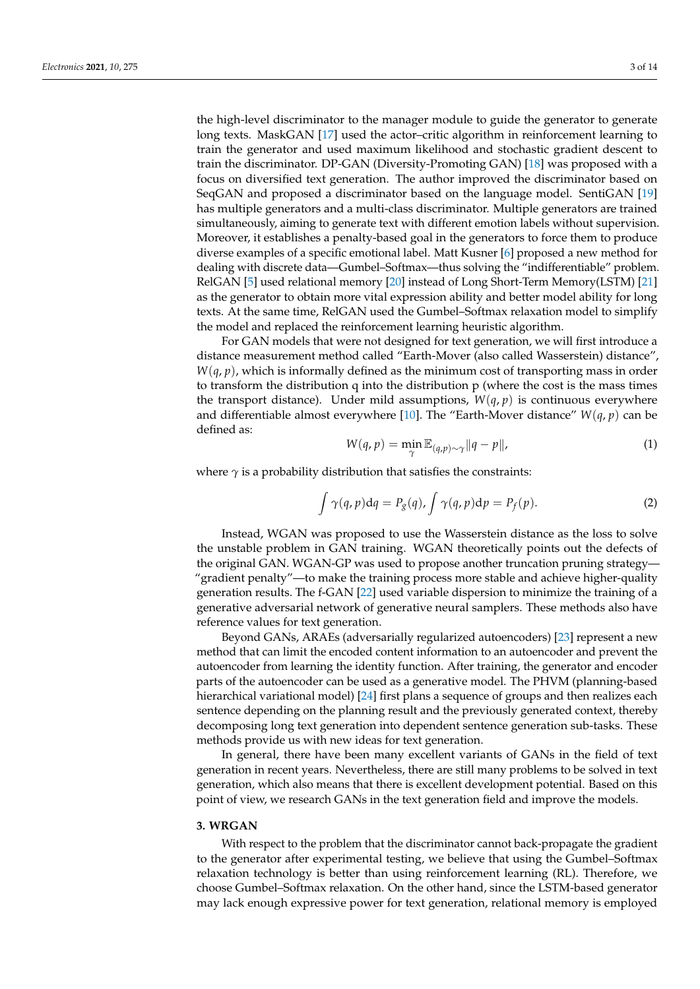the high-level discriminator to the manager module to guide the generator to generate long texts. MaskGAN [\[17\]](#page-13-2) used the actor–critic algorithm in reinforcement learning to train the generator and used maximum likelihood and stochastic gradient descent to train the discriminator. DP-GAN (Diversity-Promoting GAN) [\[18\]](#page-13-3) was proposed with a focus on diversified text generation. The author improved the discriminator based on SeqGAN and proposed a discriminator based on the language model. SentiGAN [\[19\]](#page-13-4) has multiple generators and a multi-class discriminator. Multiple generators are trained simultaneously, aiming to generate text with different emotion labels without supervision. Moreover, it establishes a penalty-based goal in the generators to force them to produce diverse examples of a specific emotional label. Matt Kusner [\[6\]](#page-12-5) proposed a new method for dealing with discrete data—Gumbel–Softmax—thus solving the "indifferentiable" problem. RelGAN [\[5\]](#page-12-4) used relational memory [\[20\]](#page-13-5) instead of Long Short-Term Memory(LSTM) [\[21\]](#page-13-6) as the generator to obtain more vital expression ability and better model ability for long texts. At the same time, RelGAN used the Gumbel–Softmax relaxation model to simplify the model and replaced the reinforcement learning heuristic algorithm.

For GAN models that were not designed for text generation, we will first introduce a distance measurement method called "Earth-Mover (also called Wasserstein) distance",  $W(q, p)$ , which is informally defined as the minimum cost of transporting mass in order to transform the distribution q into the distribution p (where the cost is the mass times the transport distance). Under mild assumptions,  $W(q, p)$  is continuous everywhere and differentiable almost everywhere [\[10\]](#page-12-9). The "Earth-Mover distance"  $W(q, p)$  can be defined as:

$$
W(q, p) = \min_{\gamma} \mathbb{E}_{(q, p) \sim \gamma} ||q - p||,
$$
\n(1)

where  $\gamma$  is a probability distribution that satisfies the constraints:

$$
\int \gamma(q, p) dq = P_g(q), \int \gamma(q, p) dp = P_f(p).
$$
 (2)

Instead, WGAN was proposed to use the Wasserstein distance as the loss to solve the unstable problem in GAN training. WGAN theoretically points out the defects of the original GAN. WGAN-GP was used to propose another truncation pruning strategy— "gradient penalty"—to make the training process more stable and achieve higher-quality generation results. The f-GAN [\[22\]](#page-13-7) used variable dispersion to minimize the training of a generative adversarial network of generative neural samplers. These methods also have reference values for text generation.

Beyond GANs, ARAEs (adversarially regularized autoencoders) [\[23\]](#page-13-8) represent a new method that can limit the encoded content information to an autoencoder and prevent the autoencoder from learning the identity function. After training, the generator and encoder parts of the autoencoder can be used as a generative model. The PHVM (planning-based hierarchical variational model) [\[24\]](#page-13-9) first plans a sequence of groups and then realizes each sentence depending on the planning result and the previously generated context, thereby decomposing long text generation into dependent sentence generation sub-tasks. These methods provide us with new ideas for text generation.

In general, there have been many excellent variants of GANs in the field of text generation in recent years. Nevertheless, there are still many problems to be solved in text generation, which also means that there is excellent development potential. Based on this point of view, we research GANs in the text generation field and improve the models.

#### <span id="page-2-0"></span>**3. WRGAN**

With respect to the problem that the discriminator cannot back-propagate the gradient to the generator after experimental testing, we believe that using the Gumbel–Softmax relaxation technology is better than using reinforcement learning (RL). Therefore, we choose Gumbel–Softmax relaxation. On the other hand, since the LSTM-based generator may lack enough expressive power for text generation, relational memory is employed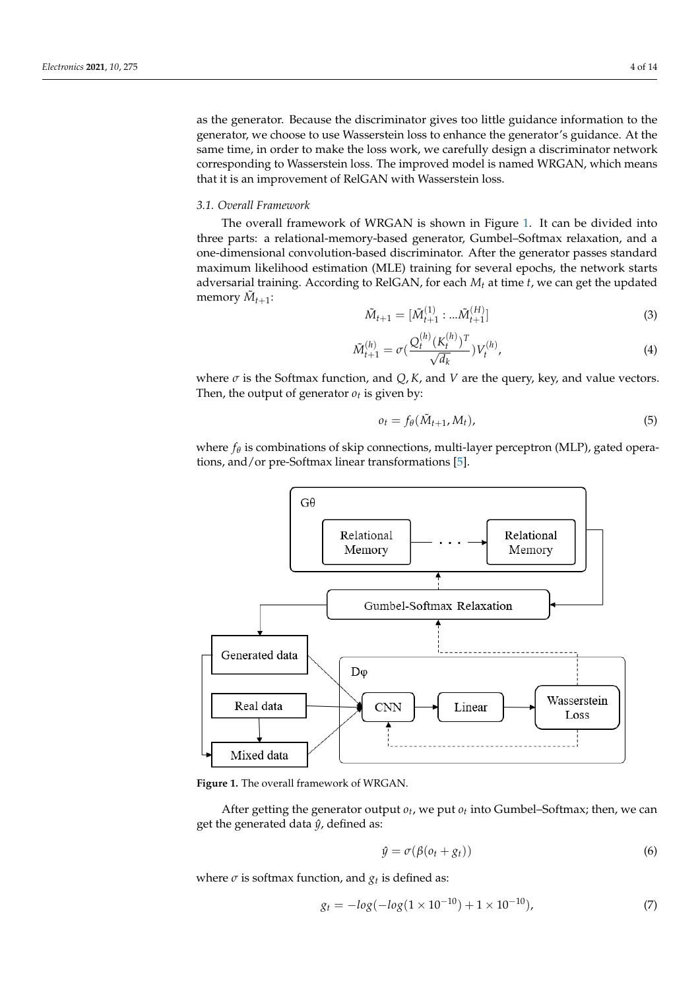as the generator. Because the discriminator gives too little guidance information to the generator, we choose to use Wasserstein loss to enhance the generator's guidance. At the same time, in order to make the loss work, we carefully design a discriminator network corresponding to Wasserstein loss. The improved model is named WRGAN, which means that it is an improvement of RelGAN with Wasserstein loss.

# *3.1. Overall Framework*

The overall framework of WRGAN is shown in Figure [1.](#page-3-0) It can be divided into three parts: a relational-memory-based generator, Gumbel–Softmax relaxation, and a one-dimensional convolution-based discriminator. After the generator passes standard maximum likelihood estimation (MLE) training for several epochs, the network starts adversarial training. According to RelGAN, for each *M<sup>t</sup>* at time *t*, we can get the updated memory  $\tilde{M}_{t+1}$ :

$$
\tilde{M}_{t+1} = [\tilde{M}_{t+1}^{(1)} : ... \tilde{M}_{t+1}^{(H)}]
$$
\n(3)

$$
\tilde{M}_{t+1}^{(h)} = \sigma \left( \frac{Q_t^{(h)} (K_t^{(h)})^T}{\sqrt{d_k}} \right) V_t^{(h)},\tag{4}
$$

where  $\sigma$  is the Softmax function, and  $Q$ ,  $K$ , and  $V$  are the query, key, and value vectors. Then, the output of generator  $o_t$  is given by:

$$
o_t = f_{\theta}(\tilde{M}_{t+1}, M_t), \tag{5}
$$

where *f<sup>θ</sup>* is combinations of skip connections, multi-layer perceptron (MLP), gated operations, and/or pre-Softmax linear transformations [\[5\]](#page-12-4).

<span id="page-3-0"></span>

**Figure 1.** The overall framework of WRGAN.

After getting the generator output  $o_t$ , we put  $o_t$  into Gumbel–Softmax; then, we can get the generated data  $\hat{y}$ , defined as:

$$
\hat{y} = \sigma(\beta(o_t + g_t))
$$
\n(6)

where  $\sigma$  is softmax function, and  $g_t$  is defined as:

$$
g_t = -\log(-\log(1 \times 10^{-10}) + 1 \times 10^{-10}),\tag{7}
$$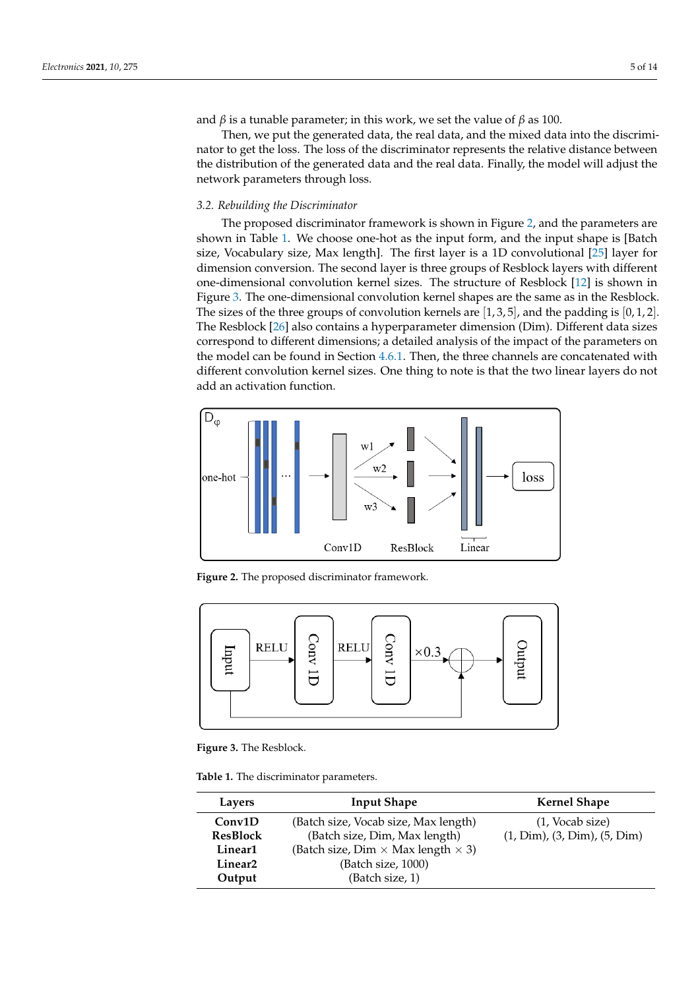and *β* is a tunable parameter; in this work, we set the value of *β* as 100.

Then, we put the generated data, the real data, and the mixed data into the discriminator to get the loss. The loss of the discriminator represents the relative distance between the distribution of the generated data and the real data. Finally, the model will adjust the network parameters through loss.

# *3.2. Rebuilding the Discriminator*

The proposed discriminator framework is shown in Figure [2,](#page-4-0) and the parameters are shown in Table [1.](#page-4-1) We choose one-hot as the input form, and the input shape is [Batch size, Vocabulary size, Max length]. The first layer is a 1D convolutional [\[25\]](#page-13-10) layer for dimension conversion. The second layer is three groups of Resblock layers with different one-dimensional convolution kernel sizes. The structure of Resblock [\[12\]](#page-12-11) is shown in Figure [3.](#page-4-2) The one-dimensional convolution kernel shapes are the same as in the Resblock. The sizes of the three groups of convolution kernels are  $[1, 3, 5]$ , and the padding is  $[0, 1, 2]$ . The Resblock [\[26\]](#page-13-11) also contains a hyperparameter dimension (Dim). Different data sizes correspond to different dimensions; a detailed analysis of the impact of the parameters on the model can be found in Section [4.6.1.](#page-9-0) Then, the three channels are concatenated with different convolution kernel sizes. One thing to note is that the two linear layers do not add an activation function.

<span id="page-4-0"></span>

**Figure 2.** The proposed discriminator framework.

<span id="page-4-2"></span>

**Figure 3.** The Resblock.

<span id="page-4-1"></span>**Table 1.** The discriminator parameters.

| Layers              | <b>Input Shape</b>                               | <b>Kernel Shape</b>                  |
|---------------------|--------------------------------------------------|--------------------------------------|
| Conv1D              | (Batch size, Vocab size, Max length)             | $(1, \text{Vocab size})$             |
| <b>ResBlock</b>     | (Batch size, Dim, Max length)                    | $(1, Dim)$ , $(3, Dim)$ , $(5, Dim)$ |
| Linear1             | (Batch size, Dim $\times$ Max length $\times$ 3) |                                      |
| Linear <sub>2</sub> | (Batch size, 1000)                               |                                      |
| Output              | (Batch size, 1)                                  |                                      |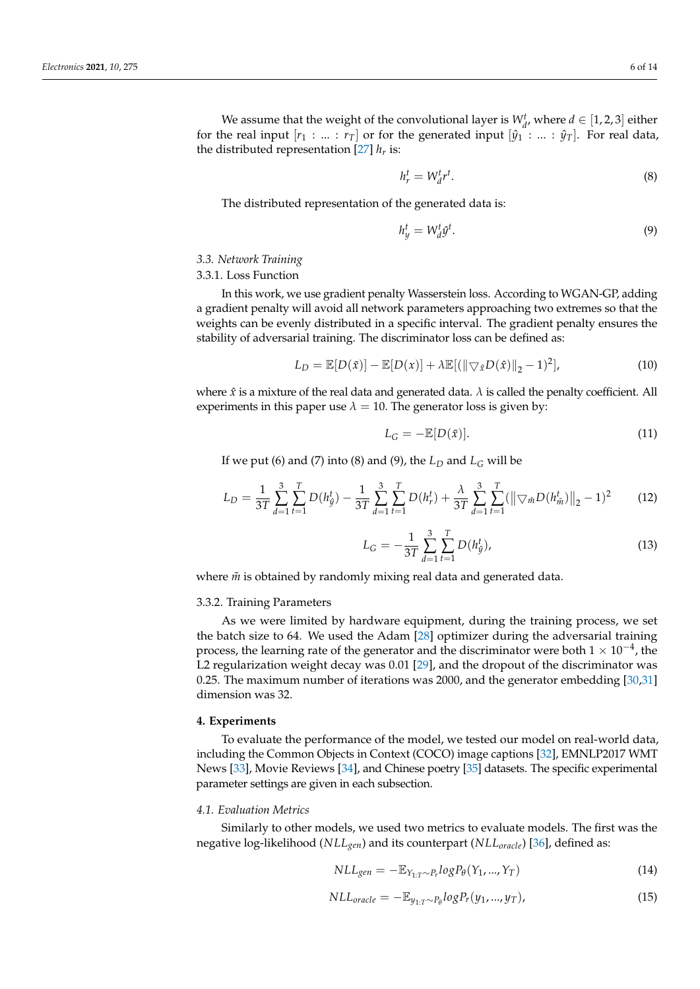We assume that the weight of the convolutional layer is  $W_{d}^{t}$ , where  $d \in [1,2,3]$  either for the real input  $[r_1 : ... : r_T]$  or for the generated input  $[\hat{y}_1 : ... : \hat{y}_T]$ . For real data, the distributed representation  $[27]$   $h_r$  is:

$$
h_r^t = W_d^t r^t. \tag{8}
$$

The distributed representation of the generated data is:

$$
h_y^t = W_d^t \hat{y}^t. \tag{9}
$$

#### *3.3. Network Training*

# 3.3.1. Loss Function

In this work, we use gradient penalty Wasserstein loss. According to WGAN-GP, adding a gradient penalty will avoid all network parameters approaching two extremes so that the weights can be evenly distributed in a specific interval. The gradient penalty ensures the stability of adversarial training. The discriminator loss can be defined as:

$$
L_D = \mathbb{E}[D(\tilde{x})] - \mathbb{E}[D(x)] + \lambda \mathbb{E}[ (\|\nabla_{\hat{x}} D(\hat{x})\|_2 - 1)^2 ], \tag{10}
$$

where  $\hat{x}$  is a mixture of the real data and generated data.  $\lambda$  is called the penalty coefficient. All experiments in this paper use  $\lambda = 10$ . The generator loss is given by:

$$
L_G = -\mathbb{E}[D(\tilde{x})].\tag{11}
$$

If we put (6) and (7) into (8) and (9), the  $L_D$  and  $L_G$  will be

$$
L_D = \frac{1}{3T} \sum_{d=1}^{3} \sum_{t=1}^{T} D(h_{\hat{y}}^t) - \frac{1}{3T} \sum_{d=1}^{3} \sum_{t=1}^{T} D(h_r^t) + \frac{\lambda}{3T} \sum_{d=1}^{3} \sum_{t=1}^{T} (||\nabla_{\tilde{m}} D(h_{\tilde{m}}^t)||_2 - 1)^2
$$
(12)

$$
L_G = -\frac{1}{3T} \sum_{d=1}^{3} \sum_{t=1}^{T} D(h_g^t),
$$
\n(13)

where  $\tilde{m}$  is obtained by randomly mixing real data and generated data.

#### 3.3.2. Training Parameters

As we were limited by hardware equipment, during the training process, we set the batch size to 64. We used the Adam [\[28\]](#page-13-13) optimizer during the adversarial training process, the learning rate of the generator and the discriminator were both  $1 \times 10^{-4}$ , the L2 regularization weight decay was 0.01 [\[29\]](#page-13-14), and the dropout of the discriminator was 0.25. The maximum number of iterations was 2000, and the generator embedding [\[30](#page-13-15)[,31\]](#page-13-16) dimension was 32.

#### <span id="page-5-0"></span>**4. Experiments**

To evaluate the performance of the model, we tested our model on real-world data, including the Common Objects in Context (COCO) image captions [\[32\]](#page-13-17), EMNLP2017 WMT News [\[33\]](#page-13-18), Movie Reviews [\[34\]](#page-13-19), and Chinese poetry [\[35\]](#page-13-20) datasets. The specific experimental parameter settings are given in each subsection.

#### *4.1. Evaluation Metrics*

Similarly to other models, we used two metrics to evaluate models. The first was the negative log-likelihood (*NLLgen*) and its counterpart (*NLLoracle*) [\[36\]](#page-13-21), defined as:

$$
NLL_{gen} = -\mathbb{E}_{Y_{1:T} \sim P_r} log P_{\theta}(Y_1, ..., Y_T)
$$
\n(14)

$$
NLL_{oracle} = -\mathbb{E}_{y_{1:T} \sim P_{\theta}} log P_r(y_1, ..., y_T), \qquad (15)
$$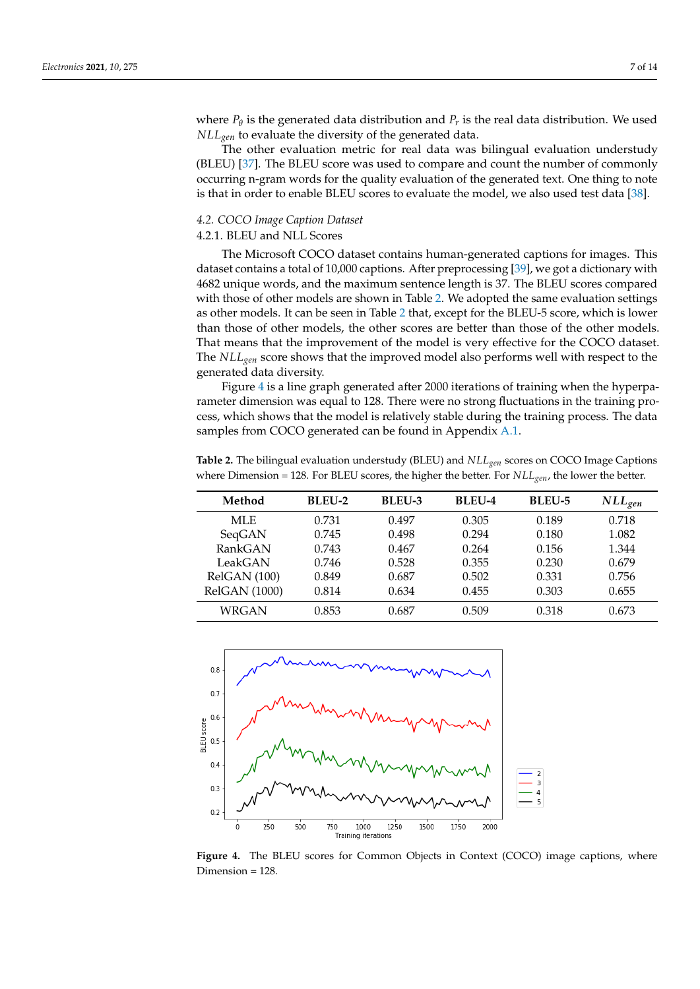where  $P_{\theta}$  is the generated data distribution and  $P_r$  is the real data distribution. We used *NLLgen* to evaluate the diversity of the generated data.

The other evaluation metric for real data was bilingual evaluation understudy (BLEU) [\[37\]](#page-13-22). The BLEU score was used to compare and count the number of commonly occurring n-gram words for the quality evaluation of the generated text. One thing to note is that in order to enable BLEU scores to evaluate the model, we also used test data [\[38\]](#page-13-23).

# *4.2. COCO Image Caption Dataset*

# 4.2.1. BLEU and NLL Scores

The Microsoft COCO dataset contains human-generated captions for images. This dataset contains a total of 10,000 captions. After preprocessing [\[39\]](#page-13-24), we got a dictionary with 4682 unique words, and the maximum sentence length is 37. The BLEU scores compared with those of other models are shown in Table [2.](#page-6-0) We adopted the same evaluation settings as other models. It can be seen in Table [2](#page-6-0) that, except for the BLEU-5 score, which is lower than those of other models, the other scores are better than those of the other models. That means that the improvement of the model is very effective for the COCO dataset. The *NLLgen* score shows that the improved model also performs well with respect to the generated data diversity.

Figure [4](#page-6-1) is a line graph generated after 2000 iterations of training when the hyperparameter dimension was equal to 128. There were no strong fluctuations in the training process, which shows that the model is relatively stable during the training process. The data samples from COCO generated can be found in Appendix [A.1.](#page-11-1)

<span id="page-6-0"></span>**Table 2.** The bilingual evaluation understudy (BLEU) and *NLLgen* scores on COCO Image Captions where Dimension = 128. For BLEU scores, the higher the better. For *NLLgen*, the lower the better.

| Method               | <b>BLEU-2</b> | BLEU-3 | <b>BLEU-4</b> | <b>BLEU-5</b> | $NLL_{gen}$ |
|----------------------|---------------|--------|---------------|---------------|-------------|
| MLE.                 | 0.731         | 0.497  | 0.305         | 0.189         | 0.718       |
| SeqGAN               | 0.745         | 0.498  | 0.294         | 0.180         | 1.082       |
| RankGAN              | 0.743         | 0.467  | 0.264         | 0.156         | 1.344       |
| LeakGAN              | 0.746         | 0.528  | 0.355         | 0.230         | 0.679       |
| RelGAN (100)         | 0.849         | 0.687  | 0.502         | 0.331         | 0.756       |
| <b>RelGAN</b> (1000) | 0.814         | 0.634  | 0.455         | 0.303         | 0.655       |
| WRGAN                | 0.853         | 0.687  | 0.509         | 0.318         | 0.673       |

<span id="page-6-1"></span>

**Figure 4.** The BLEU scores for Common Objects in Context (COCO) image captions, where Dimension = 128.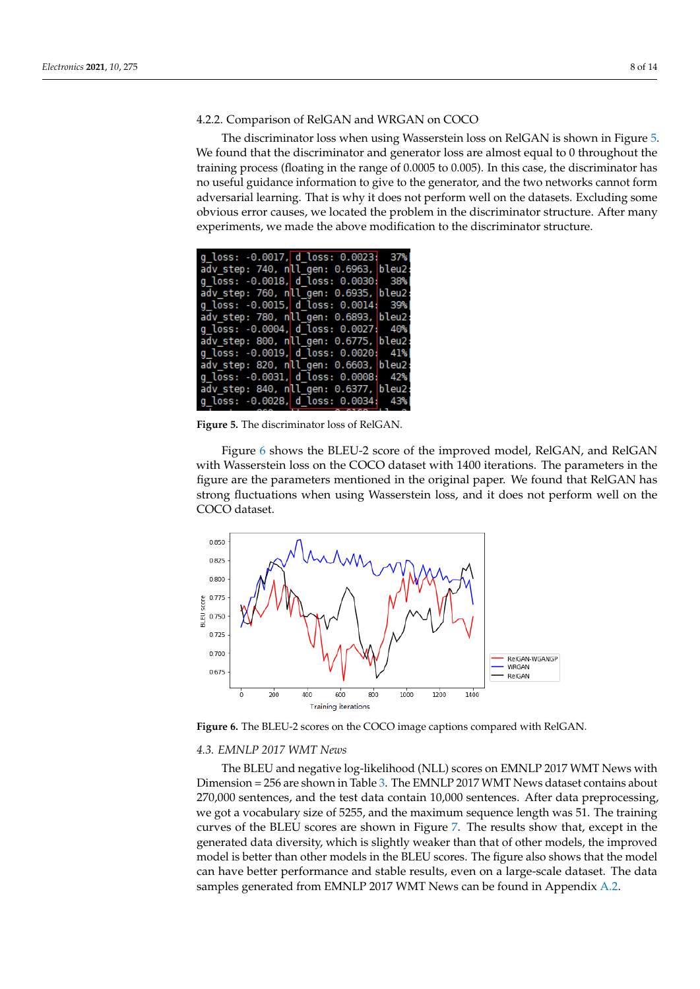# <span id="page-7-0"></span>4.2.2. Comparison of RelGAN and WRGAN on COCO

The discriminator loss when using Wasserstein loss on RelGAN is shown in Figure [5.](#page-7-1) We found that the discriminator and generator loss are almost equal to 0 throughout the training process (floating in the range of 0.0005 to 0.005). In this case, the discriminator has no useful guidance information to give to the generator, and the two networks cannot form adversarial learning. That is why it does not perform well on the datasets. Excluding some obvious error causes, we located the problem in the discriminator structure. After many experiments, we made the above modification to the discriminator structure.

<span id="page-7-1"></span>

| g loss: -0.0017, d loss: 0.0023; 37%  |  |
|---------------------------------------|--|
| adv step: 740, nll gen: 0.6963, bleu2 |  |
| g loss: -0.0018, d loss: 0.0030; 38%  |  |
| adv step: 760, nll gen: 0.6935, bleu2 |  |
| g_loss: -0.0015, d_loss: 0.0014; 39%  |  |
| adv step: 780, nll gen: 0.6893, bleu2 |  |
| g loss: -0.0004, d loss: 0.0027; 40%  |  |
| adv step: 800, nll gen: 0.6775, bleu2 |  |
| g loss: -0.0019, d loss: 0.0020; 41%  |  |
| adv step: 820, nll gen: 0.6603, bleu2 |  |
| g loss: -0.0031, d loss: 0.0008; 42%  |  |
| adv_step: 840, nll gen: 0.6377, bleu2 |  |
| g loss: -0.0028, d loss: 0.0034; 43%  |  |

**Figure 5.** The discriminator loss of RelGAN.

Figure [6](#page-7-2) shows the BLEU-2 score of the improved model, RelGAN, and RelGAN with Wasserstein loss on the COCO dataset with 1400 iterations. The parameters in the figure are the parameters mentioned in the original paper. We found that RelGAN has strong fluctuations when using Wasserstein loss, and it does not perform well on the COCO dataset.

<span id="page-7-2"></span>

**Figure 6.** The BLEU-2 scores on the COCO image captions compared with RelGAN.

# *4.3. EMNLP 2017 WMT News*

The BLEU and negative log-likelihood (NLL) scores on EMNLP 2017 WMT News with Dimension = 256 are shown in Table [3.](#page-8-0) The EMNLP 2017 WMT News dataset contains about 270,000 sentences, and the test data contain 10,000 sentences. After data preprocessing, we got a vocabulary size of 5255, and the maximum sequence length was 51. The training curves of the BLEU scores are shown in Figure [7.](#page-8-1) The results show that, except in the generated data diversity, which is slightly weaker than that of other models, the improved model is better than other models in the BLEU scores. The figure also shows that the model can have better performance and stable results, even on a large-scale dataset. The data samples generated from EMNLP 2017 WMT News can be found in Appendix [A.2.](#page-11-2)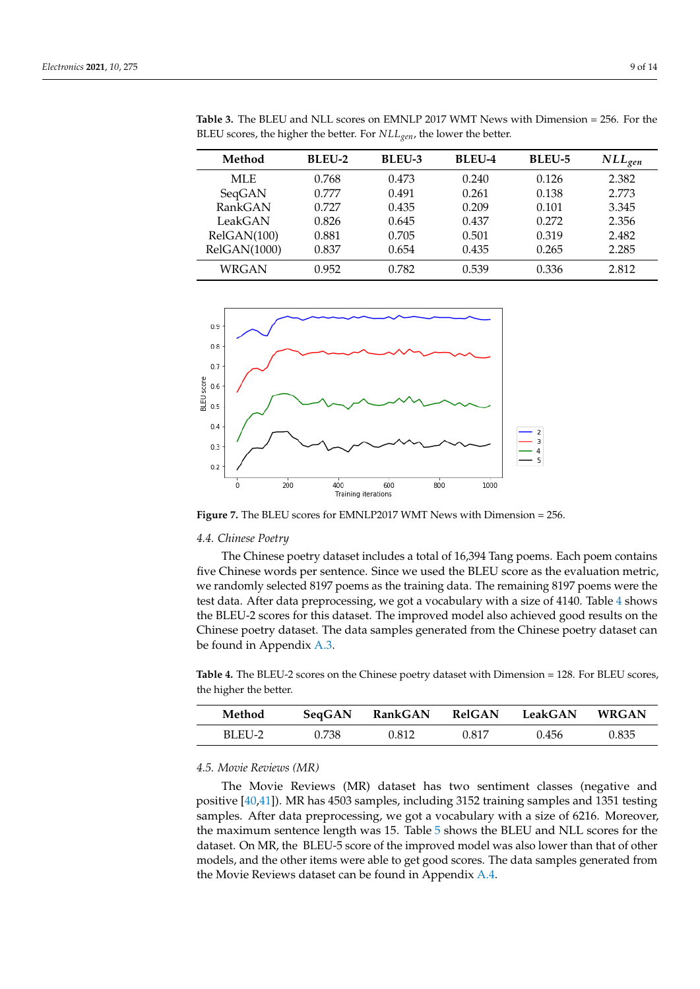| Method       | <b>BLEU-2</b> | <b>BLEU-3</b> | <b>BLEU-4</b> | <b>BLEU-5</b> | $NLL_{gen}$ |
|--------------|---------------|---------------|---------------|---------------|-------------|
| MLE.         | 0.768         | 0.473         | 0.240         | 0.126         | 2.382       |
| SeqGAN       | 0.777         | 0.491         | 0.261         | 0.138         | 2.773       |
| RankGAN      | 0.727         | 0.435         | 0.209         | 0.101         | 3.345       |
| LeakGAN      | 0.826         | 0.645         | 0.437         | 0.272         | 2.356       |
| RelGAN(100)  | 0.881         | 0.705         | 0.501         | 0.319         | 2.482       |
| RelGAN(1000) | 0.837         | 0.654         | 0.435         | 0.265         | 2.285       |
| WRGAN        | 0.952         | 0.782         | 0.539         | 0.336         | 2.812       |

<span id="page-8-0"></span>**Table 3.** The BLEU and NLL scores on EMNLP 2017 WMT News with Dimension = 256. For the BLEU scores, the higher the better. For *NLLgen*, the lower the better.

<span id="page-8-1"></span>

**Figure 7.** The BLEU scores for EMNLP2017 WMT News with Dimension = 256.

### *4.4. Chinese Poetry*

The Chinese poetry dataset includes a total of 16,394 Tang poems. Each poem contains five Chinese words per sentence. Since we used the BLEU score as the evaluation metric, we randomly selected 8197 poems as the training data. The remaining 8197 poems were the test data. After data preprocessing, we got a vocabulary with a size of [4](#page-8-2)140. Table 4 shows the BLEU-2 scores for this dataset. The improved model also achieved good results on the Chinese poetry dataset. The data samples generated from the Chinese poetry dataset can be found in Appendix [A.3.](#page-12-14)

<span id="page-8-2"></span>**Table 4.** The BLEU-2 scores on the Chinese poetry dataset with Dimension = 128. For BLEU scores, the higher the better.

| Method | SeqGAN | RankGAN | RelGAN | LeakGAN | <b>WRGAN</b> |
|--------|--------|---------|--------|---------|--------------|
| BLEU-2 | 0.738  | 0.812   | 0.817  | 0.456   | 0.835        |

# *4.5. Movie Reviews (MR)*

The Movie Reviews (MR) dataset has two sentiment classes (negative and positive [\[40,](#page-13-25)[41\]](#page-13-26)). MR has 4503 samples, including 3152 training samples and 1351 testing samples. After data preprocessing, we got a vocabulary with a size of 6216. Moreover, the maximum sentence length was 15. Table [5](#page-9-1) shows the BLEU and NLL scores for the dataset. On MR, the BLEU-5 score of the improved model was also lower than that of other models, and the other items were able to get good scores. The data samples generated from the Movie Reviews dataset can be found in Appendix [A.4.](#page-12-15)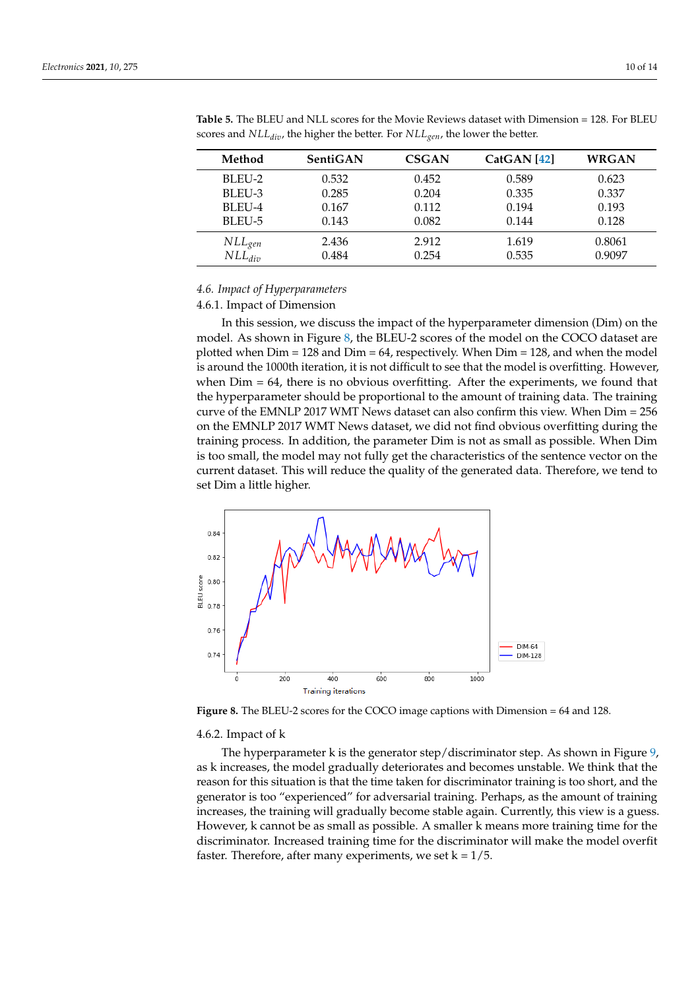| Method                       | SentiGAN | <b>CSGAN</b> | CatGAN[42] | <b>WRGAN</b> |
|------------------------------|----------|--------------|------------|--------------|
| BLEU-2                       | 0.532    | 0.452        | 0.589      | 0.623        |
| BLEU-3                       | 0.285    | 0.204        | 0.335      | 0.337        |
| BLEU-4                       | 0.167    | 0.112        | 0.194      | 0.193        |
| BLEU-5                       | 0.143    | 0.082        | 0.144      | 0.128        |
|                              | 2.436    | 2.912        | 1.619      | 0.8061       |
| $\n  NLL_{gen}\n  NLL_{div}$ | 0.484    | 0.254        | 0.535      | 0.9097       |

<span id="page-9-1"></span>**Table 5.** The BLEU and NLL scores for the Movie Reviews dataset with Dimension = 128. For BLEU scores and *NLLdiv*, the higher the better. For *NLLgen*, the lower the better.

# *4.6. Impact of Hyperparameters*

# <span id="page-9-0"></span>4.6.1. Impact of Dimension

In this session, we discuss the impact of the hyperparameter dimension (Dim) on the model. As shown in Figure [8,](#page-9-2) the BLEU-2 scores of the model on the COCO dataset are plotted when Dim = 128 and Dim = 64, respectively. When Dim = 128, and when the model is around the 1000th iteration, it is not difficult to see that the model is overfitting. However, when  $Dim = 64$ , there is no obvious overfitting. After the experiments, we found that the hyperparameter should be proportional to the amount of training data. The training curve of the EMNLP 2017 WMT News dataset can also confirm this view. When Dim = 256 on the EMNLP 2017 WMT News dataset, we did not find obvious overfitting during the training process. In addition, the parameter Dim is not as small as possible. When Dim is too small, the model may not fully get the characteristics of the sentence vector on the current dataset. This will reduce the quality of the generated data. Therefore, we tend to set Dim a little higher.

<span id="page-9-2"></span>

**Figure 8.** The BLEU-2 scores for the COCO image captions with Dimension = 64 and 128.

#### 4.6.2. Impact of k

The hyperparameter k is the generator step/discriminator step. As shown in Figure [9,](#page-10-1) as k increases, the model gradually deteriorates and becomes unstable. We think that the reason for this situation is that the time taken for discriminator training is too short, and the generator is too "experienced" for adversarial training. Perhaps, as the amount of training increases, the training will gradually become stable again. Currently, this view is a guess. However, k cannot be as small as possible. A smaller k means more training time for the discriminator. Increased training time for the discriminator will make the model overfit faster. Therefore, after many experiments, we set  $k = 1/5$ .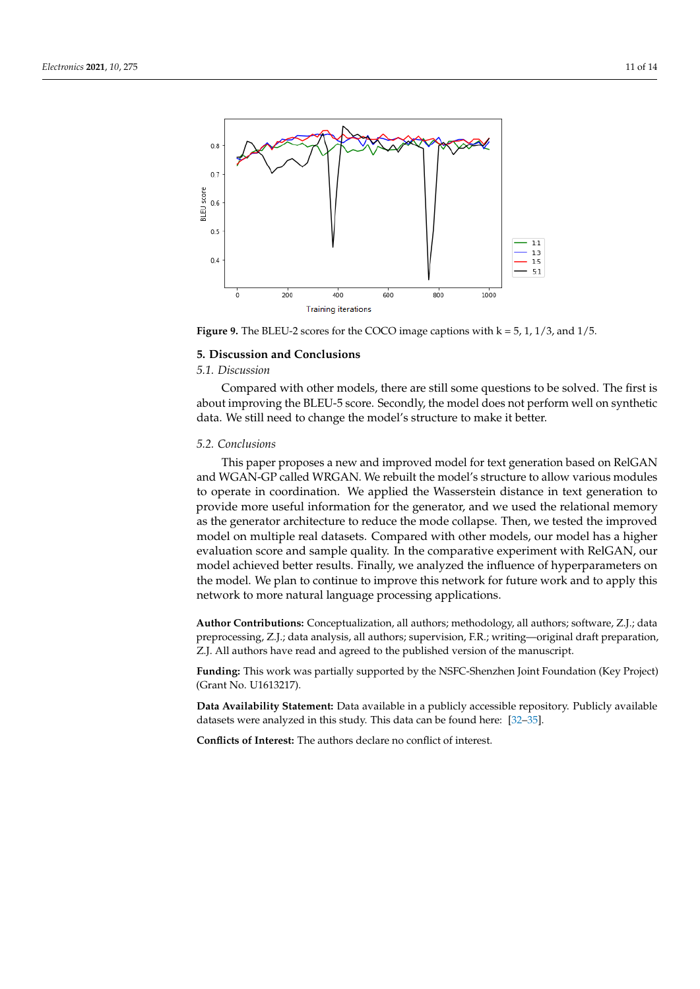<span id="page-10-1"></span>

**Figure 9.** The BLEU-2 scores for the COCO image captions with  $k = 5$ , 1, 1/3, and 1/5.

### <span id="page-10-0"></span>**5. Discussion and Conclusions**

# *5.1. Discussion*

Compared with other models, there are still some questions to be solved. The first is about improving the BLEU-5 score. Secondly, the model does not perform well on synthetic data. We still need to change the model's structure to make it better.

### *5.2. Conclusions*

This paper proposes a new and improved model for text generation based on RelGAN and WGAN-GP called WRGAN. We rebuilt the model's structure to allow various modules to operate in coordination. We applied the Wasserstein distance in text generation to provide more useful information for the generator, and we used the relational memory as the generator architecture to reduce the mode collapse. Then, we tested the improved model on multiple real datasets. Compared with other models, our model has a higher evaluation score and sample quality. In the comparative experiment with RelGAN, our model achieved better results. Finally, we analyzed the influence of hyperparameters on the model. We plan to continue to improve this network for future work and to apply this network to more natural language processing applications.

**Author Contributions:** Conceptualization, all authors; methodology, all authors; software, Z.J.; data preprocessing, Z.J.; data analysis, all authors; supervision, F.R.; writing—original draft preparation, Z.J. All authors have read and agreed to the published version of the manuscript.

**Funding:** This work was partially supported by the NSFC-Shenzhen Joint Foundation (Key Project) (Grant No. U1613217).

**Data Availability Statement:** Data available in a publicly accessible repository. Publicly available datasets were analyzed in this study. This data can be found here: [\[32–](#page-13-17)[35\]](#page-13-20).

**Conflicts of Interest:** The authors declare no conflict of interest.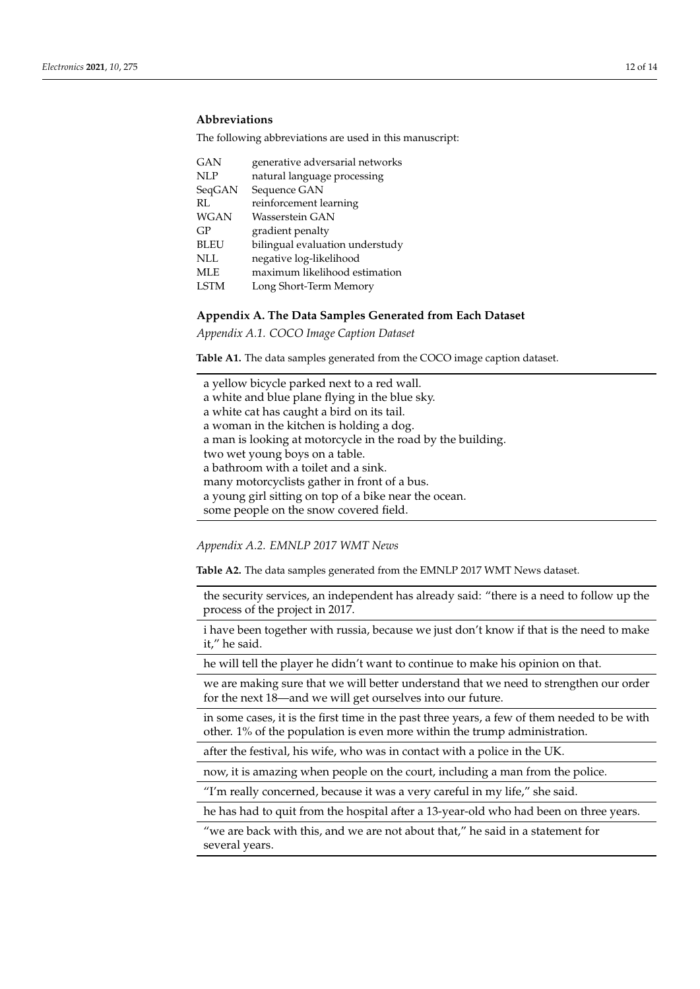# **Abbreviations**

The following abbreviations are used in this manuscript:

| GAN         | generative adversarial networks |
|-------------|---------------------------------|
| <b>NLP</b>  | natural language processing     |
| SeqGAN      | Sequence GAN                    |
| RL.         | reinforcement learning          |
| WGAN        | Wasserstein GAN                 |
| GP          | gradient penalty                |
| <b>BLEU</b> | bilingual evaluation understudy |
| NLL         | negative log-likelihood         |
| MLE         | maximum likelihood estimation   |
| LSTM        | Long Short-Term Memory          |

# <span id="page-11-0"></span>**Appendix A. The Data Samples Generated from Each Dataset**

<span id="page-11-1"></span>*Appendix A.1. COCO Image Caption Dataset*

**Table A1.** The data samples generated from the COCO image caption dataset.

a yellow bicycle parked next to a red wall. a white and blue plane flying in the blue sky. a white cat has caught a bird on its tail. a woman in the kitchen is holding a dog. a man is looking at motorcycle in the road by the building. two wet young boys on a table. a bathroom with a toilet and a sink. many motorcyclists gather in front of a bus. a young girl sitting on top of a bike near the ocean. some people on the snow covered field.

<span id="page-11-2"></span>*Appendix A.2. EMNLP 2017 WMT News*

**Table A2.** The data samples generated from the EMNLP 2017 WMT News dataset.

the security services, an independent has already said: "there is a need to follow up the process of the project in 2017.

i have been together with russia, because we just don't know if that is the need to make it," he said.

he will tell the player he didn't want to continue to make his opinion on that.

we are making sure that we will better understand that we need to strengthen our order for the next 18—and we will get ourselves into our future.

in some cases, it is the first time in the past three years, a few of them needed to be with other. 1% of the population is even more within the trump administration.

after the festival, his wife, who was in contact with a police in the UK.

now, it is amazing when people on the court, including a man from the police.

"I'm really concerned, because it was a very careful in my life," she said.

he has had to quit from the hospital after a 13-year-old who had been on three years.

"we are back with this, and we are not about that," he said in a statement for several years.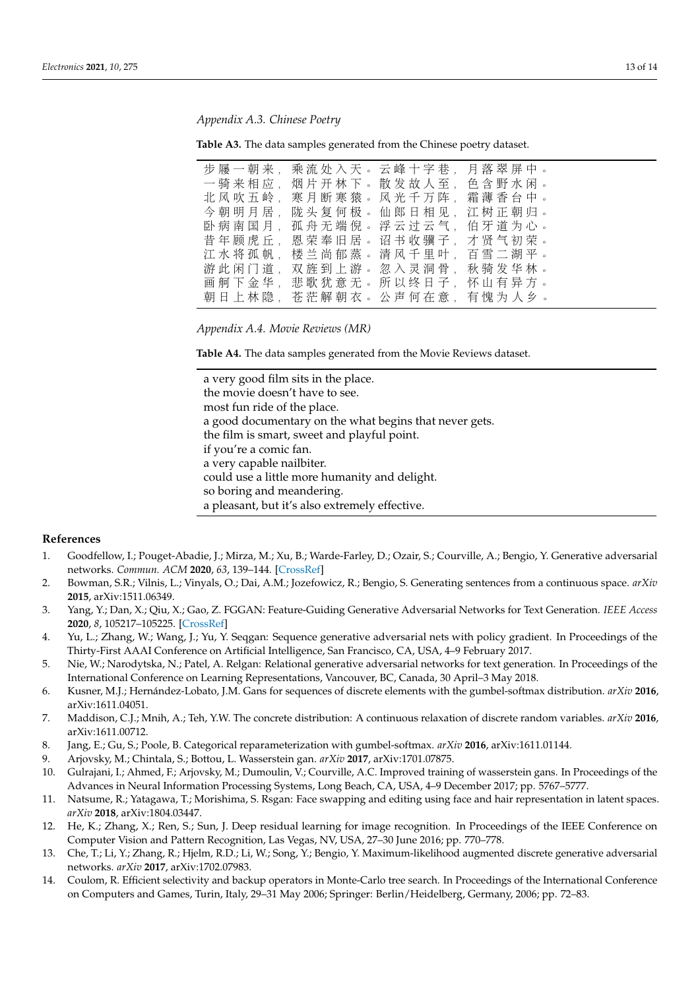<span id="page-12-14"></span>*Appendix A.3. Chinese Poetry*

**Table A3.** The data samples generated from the Chinese poetry dataset.

| 步屦一朝来, | 乘流处入天。云峰十字巷           | 月落翠屏中。 |
|--------|-----------------------|--------|
| 一骑来相应  | 烟片开林下。散发故人至           | 色含野水闲。 |
| 北风吹五岭  | 寒月断寒猿。风光千万阵           | 霜薄香台中。 |
| 今朝明月居  | 陇头复何极。仙郎日相见           | 江树正朝归。 |
| 卧病南国月  | 孤 舟 无 端 倪 。 浮 云 讨 云 气 | 伯牙道为心。 |
| 昔年顾虎丘. | 恩 荣 奉 旧 居 。 诏 书 收 骥 子 | 才贤气初荣。 |
| 江水将孤帆。 | 楼兰尚郁蒸。清风千里叶           | 百雪二湖平。 |
| 游此闲门道。 | 双 旌 到 上 游 。 忽 入 灵 洞 骨 | 秋骑发华林。 |
| 画舸下金华  | 悲歌犹意无。所以终日子。          | 怀山有异方。 |
| 朝日上林隐  | 苍茫解朝衣。公声何在意           | 有愧为人乡。 |

<span id="page-12-15"></span>*Appendix A.4. Movie Reviews (MR)*

**Table A4.** The data samples generated from the Movie Reviews dataset.

a very good film sits in the place. the movie doesn't have to see. most fun ride of the place. a good documentary on the what begins that never gets. the film is smart, sweet and playful point. if you're a comic fan. a very capable nailbiter. could use a little more humanity and delight. so boring and meandering. a pleasant, but it's also extremely effective.

# **References**

- <span id="page-12-0"></span>1. Goodfellow, I.; Pouget-Abadie, J.; Mirza, M.; Xu, B.; Warde-Farley, D.; Ozair, S.; Courville, A.; Bengio, Y. Generative adversarial networks. *Commun. ACM* **2020**, *63*, 139–144. [\[CrossRef\]](http://doi.org/10.1145/3422622)
- <span id="page-12-1"></span>2. Bowman, S.R.; Vilnis, L.; Vinyals, O.; Dai, A.M.; Jozefowicz, R.; Bengio, S. Generating sentences from a continuous space. *arXiv* **2015**, arXiv:1511.06349.
- <span id="page-12-2"></span>3. Yang, Y.; Dan, X.; Qiu, X.; Gao, Z. FGGAN: Feature-Guiding Generative Adversarial Networks for Text Generation. *IEEE Access* **2020**, *8*, 105217–105225. [\[CrossRef\]](http://dx.doi.org/10.1109/ACCESS.2020.2993928)
- <span id="page-12-3"></span>4. Yu, L.; Zhang, W.; Wang, J.; Yu, Y. Seqgan: Sequence generative adversarial nets with policy gradient. In Proceedings of the Thirty-First AAAI Conference on Artificial Intelligence, San Francisco, CA, USA, 4–9 February 2017.
- <span id="page-12-4"></span>5. Nie, W.; Narodytska, N.; Patel, A. Relgan: Relational generative adversarial networks for text generation. In Proceedings of the International Conference on Learning Representations, Vancouver, BC, Canada, 30 April–3 May 2018.
- <span id="page-12-5"></span>6. Kusner, M.J.; Hernández-Lobato, J.M. Gans for sequences of discrete elements with the gumbel-softmax distribution. *arXiv* **2016**, arXiv:1611.04051.
- <span id="page-12-6"></span>7. Maddison, C.J.; Mnih, A.; Teh, Y.W. The concrete distribution: A continuous relaxation of discrete random variables. *arXiv* **2016**, arXiv:1611.00712.
- <span id="page-12-7"></span>8. Jang, E.; Gu, S.; Poole, B. Categorical reparameterization with gumbel-softmax. *arXiv* **2016**, arXiv:1611.01144.
- <span id="page-12-8"></span>9. Arjovsky, M.; Chintala, S.; Bottou, L. Wasserstein gan. *arXiv* **2017**, arXiv:1701.07875.
- <span id="page-12-9"></span>10. Gulrajani, I.; Ahmed, F.; Arjovsky, M.; Dumoulin, V.; Courville, A.C. Improved training of wasserstein gans. In Proceedings of the Advances in Neural Information Processing Systems, Long Beach, CA, USA, 4–9 December 2017; pp. 5767–5777.
- <span id="page-12-10"></span>11. Natsume, R.; Yatagawa, T.; Morishima, S. Rsgan: Face swapping and editing using face and hair representation in latent spaces. *arXiv* **2018**, arXiv:1804.03447.
- <span id="page-12-11"></span>12. He, K.; Zhang, X.; Ren, S.; Sun, J. Deep residual learning for image recognition. In Proceedings of the IEEE Conference on Computer Vision and Pattern Recognition, Las Vegas, NV, USA, 27–30 June 2016; pp. 770–778.
- <span id="page-12-12"></span>13. Che, T.; Li, Y.; Zhang, R.; Hjelm, R.D.; Li, W.; Song, Y.; Bengio, Y. Maximum-likelihood augmented discrete generative adversarial networks. *arXiv* **2017**, arXiv:1702.07983.
- <span id="page-12-13"></span>14. Coulom, R. Efficient selectivity and backup operators in Monte-Carlo tree search. In Proceedings of the International Conference on Computers and Games, Turin, Italy, 29–31 May 2006; Springer: Berlin/Heidelberg, Germany, 2006; pp. 72–83.